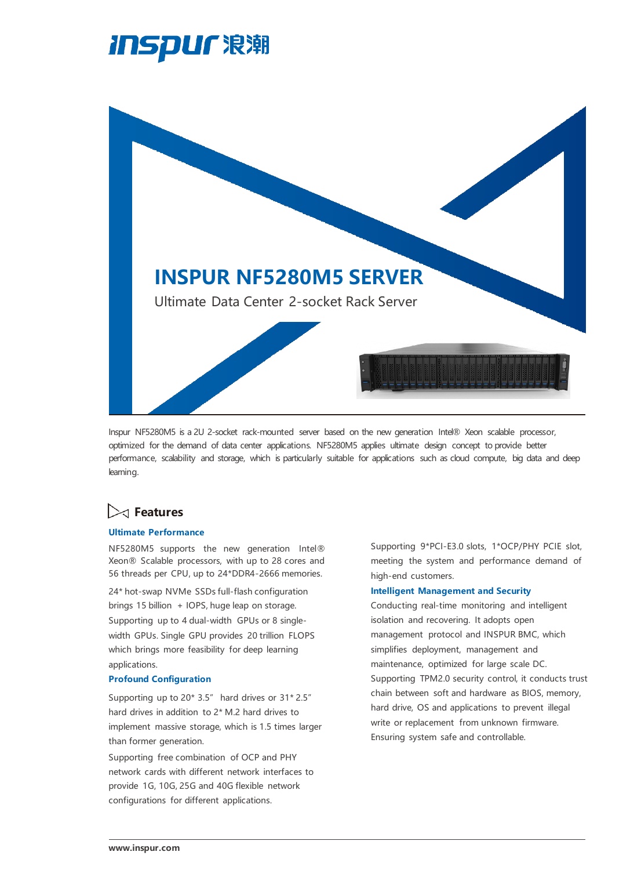



Inspur NF5280M5 is a 2U 2-socket rack-mounted server based on the new generation Intel® Xeon scalable processor, optimized for the demand of data center applications. NF5280M5 applies ultimate design concept to provide better performance, scalability and storage, which is particularly suitable for applications such as cloud compute, big data and deep learning.

## **Features**

### **Ultimate Performance**

NF5280M5 supports the new generation Intel® Xeon® Scalable processors, with up to 28 cores and 56 threads per CPU, up to 24\*DDR4-2666 memories.

24\* hot-swap NVMe SSDs full-flash configuration brings 15 billion + IOPS, huge leap on storage. Supporting up to 4 dual-width GPUs or 8 singlewidth GPUs. Single GPU provides 20 trillion FLOPS which brings more feasibility for deep learning applications.

#### **Profound Configuration**

Supporting up to 20\* 3.5" hard drives or 31\* 2.5" hard drives in addition to 2\* M.2 hard drives to implement massive storage, which is 1.5 times larger than former generation.

Supporting free combination of OCP and PHY network cards with different network interfaces to provide 1G, 10G, 25G and 40G flexible network configurations for different applications.

Supporting 9\*PCI-E3.0 slots, 1\*OCP/PHY PCIE slot, meeting the system and performance demand of high-end customers.

#### **Intelligent Management and Security**

Conducting real-time monitoring and intelligent isolation and recovering. It adopts open management protocol and INSPUR BMC, which simplifies deployment, management and maintenance, optimized for large scale DC. Supporting TPM2.0 security control, it conducts trust chain between soft and hardware as BIOS, memory, hard drive, OS and applications to prevent illegal write or replacement from unknown firmware. Ensuring system safe and controllable.